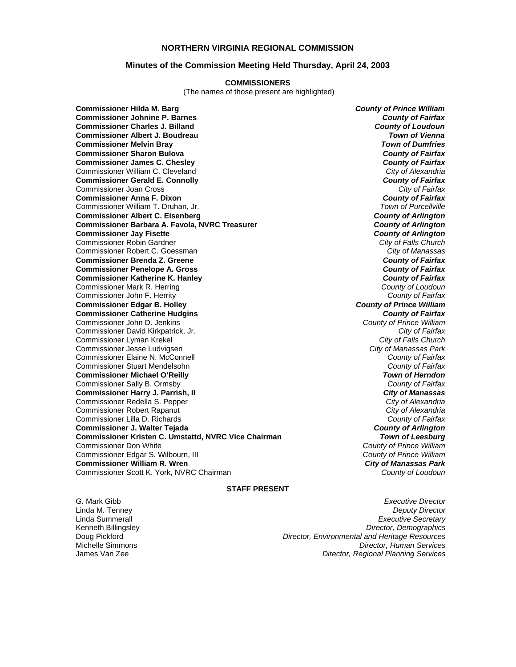### **NORTHERN VIRGINIA REGIONAL COMMISSION**

#### **Minutes of the Commission Meeting Held Thursday, April 24, 2003**

#### **COMMISSIONERS**

(The names of those present are highlighted)

**Commissioner Hilda M. Barg** *County of Prince William* **Commissioner Johnine P. Barnes** *County of Fairfax* **Commissioner Charles J. Billand** *County of Loudoun* **Commissioner Albert J. Boudreau** *Town of Vienna* **Commissioner Melvin Bray** *Town of Dumfries* **Commissioner Sharon Bulova** *County of Fairfax* **Commissioner James C. Chesley** *County of Fairfax* Commissioner William C. Cleveland *City of Alexandria* **Commissioner Gerald E. Connolly** *County of Fairfax* Commissioner Joan Cross *City of Fairfax* **Commissioner Anna F. Dixon** *County of Fairfax* Commissioner William T. Druhan, Jr. *Town of Purcellville* **Commissioner Albert C. Eisenberg** *County of Arlington* **Commissioner Barbara A. Favola, NVRC Treasurer** *County of Arlington* **Commissioner Jay Fisette** *County of Arlington* Commissioner Robin Gardner *City of Falls Church* Commissioner Robert C. Goessman *City of Manassas* **Commissioner Brenda Z. Greene** *County of Fairfax* **Commissioner Penelope A. Gross Commissioner Katherine K. Hanley** *County of Fairfax* Commissioner Mark R. Herring *County of Loudoun* Commissioner John F. Herrity *County of Fairfax* **Commissioner Edgar B. Holley** *County of Prince William* **Commissioner Catherine Hudgins** *County of Fairfax* Commissioner John D. Jenkins *County of Prince William* Commissioner David Kirkpatrick, Jr. *City of Fairfax* Commissioner Lyman Krekel *City of Falls Church* Commissioner Jesse Ludvigsen *City of Manassas Park* Commissioner Elaine N. McConnell *County of Fairfax* Commissioner Stuart Mendelsohn *County of Fairfax* **Commissioner Michael O'Reilly** *Town of Herndon* Commissioner Sally B. Ormsby *County of Fairfax* **Commissioner Harry J. Parrish, II** Commissioner Redella S. Pepper *City of Alexandria* Commissioner Robert Rapanut *City of Alexandria* Commissioner Lilla D. Richards *County of Fairfax* **Commissioner J. Walter Tejada** *County of Arlington* **Commissioner Kristen C. Umstattd, NVRC Vice Chairman** *Town of Leesburg* Commissioner Edgar S. Wilbourn, III *County of Prince William* **Commissioner William R. Wren** *City of Manassas Park* Commissioner Scott K. York, NVRC Chairman

**County of Prince William<br>County of Prince William** 

#### **STAFF PRESENT**

G. Mark Gibb *Executive Director* Linda M. Tenney *Deputy Director* Linda Summerall *Executive Secretary* Kenneth Billingsley *Director, Demographics* **Director, Environmental and Heritage Resources** Michelle Simmons *Director, Human Services* James Van Zee *Director, Regional Planning Services*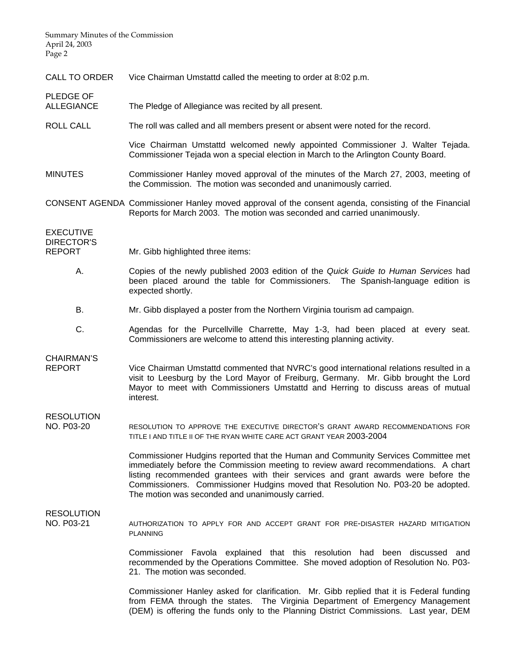Summary Minutes of the Commission April 24, 2003 Page 2

PLEDGE OF

- CALL TO ORDER Vice Chairman Umstattd called the meeting to order at 8:02 p.m.
- ALLEGIANCE The Pledge of Allegiance was recited by all present.
- ROLL CALL The roll was called and all members present or absent were noted for the record.

Vice Chairman Umstattd welcomed newly appointed Commissioner J. Walter Tejada. Commissioner Tejada won a special election in March to the Arlington County Board.

MINUTES Commissioner Hanley moved approval of the minutes of the March 27, 2003, meeting of the Commission. The motion was seconded and unanimously carried.

CONSENT AGENDA Commissioner Hanley moved approval of the consent agenda, consisting of the Financial Reports for March 2003. The motion was seconded and carried unanimously.

EXECUTIVE DIRECTOR'S REPORT Mr. Gibb highlighted three items:

- A. Copies of the newly published 2003 edition of the *Quick Guide to Human Services* had been placed around the table for Commissioners. The Spanish-language edition is expected shortly.
- B. Mr. Gibb displayed a poster from the Northern Virginia tourism ad campaign.
- C. Agendas for the Purcellville Charrette, May 1-3, had been placed at every seat. Commissioners are welcome to attend this interesting planning activity.

## CHAIRMAN'S

REPORT Vice Chairman Umstattd commented that NVRC's good international relations resulted in a visit to Leesburg by the Lord Mayor of Freiburg, Germany. Mr. Gibb brought the Lord Mayor to meet with Commissioners Umstattd and Herring to discuss areas of mutual interest.

# RESOLUTION

NO. P03-20 RESOLUTION TO APPROVE THE EXECUTIVE DIRECTOR'S GRANT AWARD RECOMMENDATIONS FOR TITLE I AND TITLE II OF THE RYAN WHITE CARE ACT GRANT YEAR 2003-2004

> Commissioner Hudgins reported that the Human and Community Services Committee met immediately before the Commission meeting to review award recommendations. A chart listing recommended grantees with their services and grant awards were before the Commissioners. Commissioner Hudgins moved that Resolution No. P03-20 be adopted. The motion was seconded and unanimously carried.

### RESOLUTION

NO. P03-21 AUTHORIZATION TO APPLY FOR AND ACCEPT GRANT FOR PRE-DISASTER HAZARD MITIGATION PLANNING

> Commissioner Favola explained that this resolution had been discussed and recommended by the Operations Committee. She moved adoption of Resolution No. P03- 21. The motion was seconded.

> Commissioner Hanley asked for clarification. Mr. Gibb replied that it is Federal funding from FEMA through the states. The Virginia Department of Emergency Management (DEM) is offering the funds only to the Planning District Commissions. Last year, DEM